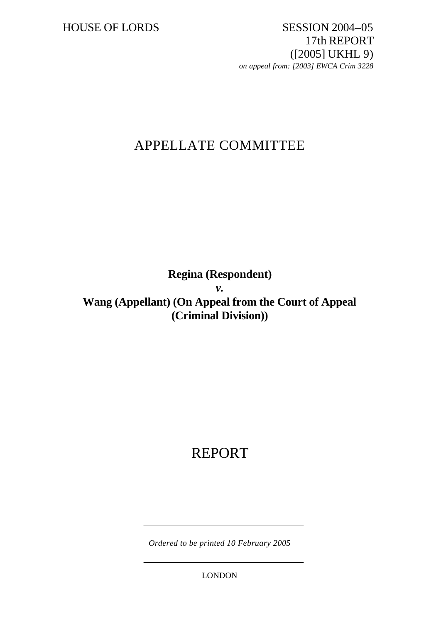HOUSE OF LORDS SESSION 2004-05 17th REPORT ([2005] UKHL 9) *on appeal from: [2003] EWCA Crim 3228*

# APPELLATE COMMITTEE

# **Regina (Respondent)**

*v.*

**Wang (Appellant) (On Appeal from the Court of Appeal (Criminal Division))**

# REPORT

*Ordered to be printed 10 February 2005*

LONDON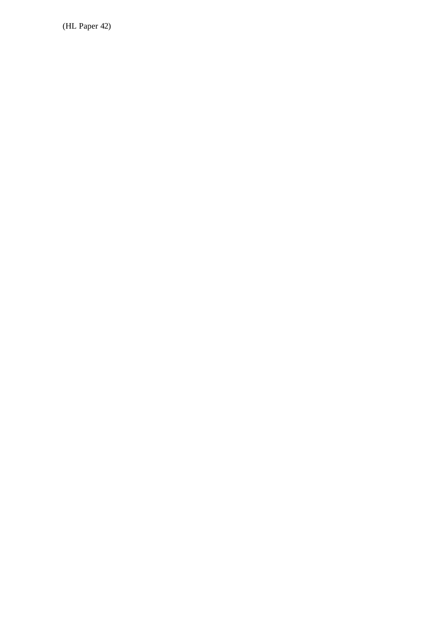(HL Paper 42)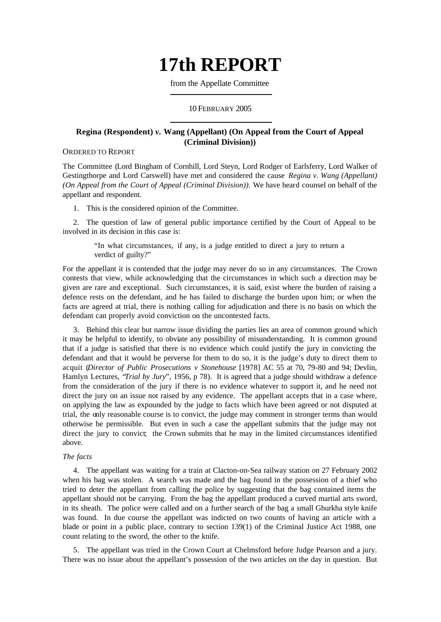# **17th REPORT**

from the Appellate Committee

## 10 FEBRUARY 2005

# **Regina (Respondent)** *v.* **Wang (Appellant) (On Appeal from the Court of Appeal (Criminal Division))**

### ORDERED TO REPORT

The Committee (Lord Bingham of Cornhill, Lord Steyn, Lord Rodger of Earlsferry, Lord Walker of Gestingthorpe and Lord Carswell) have met and considered the cause *Regina v. Wang (Appellant) (On Appeal from the Court of Appeal (Criminal Division))*. We have heard counsel on behalf of the appellant and respondent.

1. This is the considered opinion of the Committee.

2. The question of law of general public importance certified by the Court of Appeal to be involved in its decision in this case is:

> "In what circumstances, if any, is a judge entitled to direct a jury to return a verdict of guilty?"

For the appellant it is contended that the judge may never do so in any circumstances. The Crown contests that view, while acknowledging that the circumstances in which such a direction may be given are rare and exceptional. Such circumstances, it is said, exist where the burden of raising a defence rests on the defendant, and he has failed to discharge the burden upon him; or when the facts are agreed at trial, there is nothing calling for adjudication and there is no basis on which the defendant can properly avoid conviction on the uncontested facts.

3. Behind this clear but narrow issue dividing the parties lies an area of common ground which it may be helpful to identify, to obviate any possibility of misunderstanding. It is common ground that if a judge is satisfied that there is no evidence which could justify the jury in convicting the defendant and that it would be perverse for them to do so, it is the judge's duty to direct them to acquit (*Director of Public Prosecutions v Stonehouse* [1978] AC 55 at 70, 79-80 and 94; Devlin, Hamlyn Lectures, "*Trial by Jury*", 1956, p 78). It is agreed that a judge should withdraw a defence from the consideration of the jury if there is no evidence whatever to support it, and he need not direct the jury on an issue not raised by any evidence. The appellant accepts that in a case where, on applying the law as expounded by the judge to facts which have been agreed or not disputed at trial, the only reasonable course is to convict, the judge may comment in stronger terms than would otherwise be permissible. But even in such a case the appellant submits that the judge may not direct the jury to convict; the Crown submits that he may in the limited circumstances identified above.

## *The facts*

4. The appellant was waiting for a train at Clacton-on-Sea railway station on 27 February 2002 when his bag was stolen. A search was made and the bag found in the possession of a thief who tried to deter the appellant from calling the police by suggesting that the bag contained items the appellant should not be carrying. From the bag the appellant produced a curved martial arts sword, in its sheath. The police were called and on a further search of the bag a small Ghurkha style knife was found. In due course the appellant was indicted on two counts of having an article with a blade or point in a public place, contrary to section 139(1) of the Criminal Justice Act 1988, one count relating to the sword, the other to the knife.

5. The appellant was tried in the Crown Court at Chelmsford before Judge Pearson and a jury. There was no issue about the appellant's possession of the two articles on the day in question. But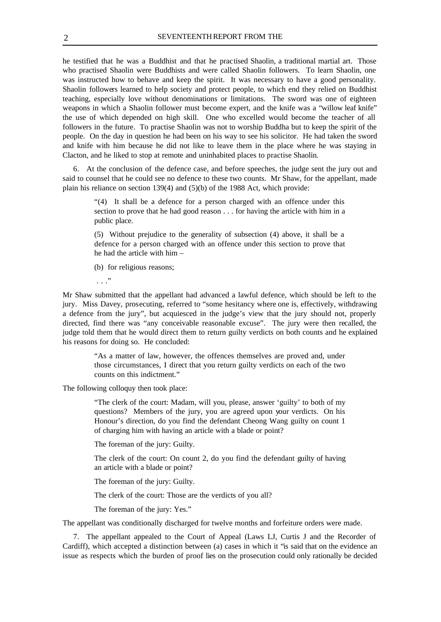he testified that he was a Buddhist and that he practised Shaolin, a traditional martial art. Those who practised Shaolin were Buddhists and were called Shaolin followers. To learn Shaolin, one was instructed how to behave and keep the spirit. It was necessary to have a good personality. Shaolin followers learned to help society and protect people, to which end they relied on Buddhist teaching, especially love without denominations or limitations. The sword was one of eighteen weapons in which a Shaolin follower must become expert, and the knife was a "willow leaf knife" the use of which depended on high skill. One who excelled would become the teacher of all followers in the future. To practise Shaolin was not to worship Buddha but to keep the spirit of the people. On the day in question he had been on his way to see his solicitor. He had taken the sword and knife with him because he did not like to leave them in the place where he was staying in Clacton, and he liked to stop at remote and uninhabited places to practise Shaolin.

6. At the conclusion of the defence case, and before speeches, the judge sent the jury out and said to counsel that he could see no defence to these two counts. Mr Shaw, for the appellant, made plain his reliance on section 139(4) and (5)(b) of the 1988 Act, which provide:

"(4) It shall be a defence for a person charged with an offence under this section to prove that he had good reason . . . for having the article with him in a public place.

(5) Without prejudice to the generality of subsection (4) above, it shall be a defence for a person charged with an offence under this section to prove that he had the article with him –

- (b) for religious reasons;
- . . ."

Mr Shaw submitted that the appellant had advanced a lawful defence, which should be left to the jury. Miss Davey, prosecuting, referred to "some hesitancy where one is, effectively, withdrawing a defence from the jury", but acquiesced in the judge's view that the jury should not, properly directed, find there was "any conceivable reasonable excuse". The jury were then recalled, the judge told them that he would direct them to return guilty verdicts on both counts and he explained his reasons for doing so. He concluded:

> "As a matter of law, however, the offences themselves are proved and, under those circumstances, I direct that you return guilty verdicts on each of the two counts on this indictment."

The following colloquy then took place:

"The clerk of the court: Madam, will you, please, answer 'guilty' to both of my questions? Members of the jury, you are agreed upon your verdicts. On his Honour's direction, do you find the defendant Cheong Wang guilty on count 1 of charging him with having an article with a blade or point?

The foreman of the jury: Guilty.

The clerk of the court: On count 2, do you find the defendant guilty of having an article with a blade or point?

The foreman of the jury: Guilty.

The clerk of the court: Those are the verdicts of you all?

The foreman of the jury: Yes."

The appellant was conditionally discharged for twelve months and forfeiture orders were made.

7. The appellant appealed to the Court of Appeal (Laws LJ, Curtis J and the Recorder of Cardiff), which accepted a distinction between (a) cases in which it "is said that on the evidence an issue as respects which the burden of proof lies on the prosecution could only rationally be decided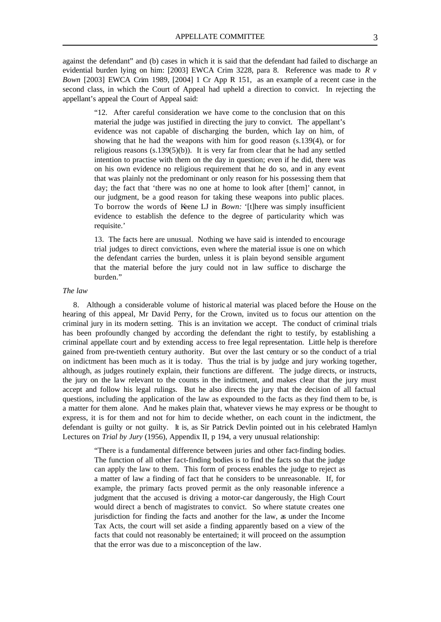against the defendant" and (b) cases in which it is said that the defendant had failed to discharge an evidential burden lying on him: [2003] EWCA Crim 3228, para 8. Reference was made to *R v Bown* [2003] EWCA Crim 1989, [2004] 1 Cr App R 151, as an example of a recent case in the second class, in which the Court of Appeal had upheld a direction to convict. In rejecting the appellant's appeal the Court of Appeal said:

"12. After careful consideration we have come to the conclusion that on this material the judge was justified in directing the jury to convict. The appellant's evidence was not capable of discharging the burden, which lay on him, of showing that he had the weapons with him for good reason (s.139(4), or for religious reasons (s.139(5)(b)). It is very far from clear that he had any settled intention to practise with them on the day in question; even if he did, there was on his own evidence no religious requirement that he do so, and in any event that was plainly not the predominant or only reason for his possessing them that day; the fact that 'there was no one at home to look after [them]' cannot, in our judgment, be a good reason for taking these weapons into public places. To borrow the words of Keene LJ in *Bown:* '[t]here was simply insufficient evidence to establish the defence to the degree of particularity which was requisite.'

13. The facts here are unusual. Nothing we have said is intended to encourage trial judges to direct convictions, even where the material issue is one on which the defendant carries the burden, unless it is plain beyond sensible argument that the material before the jury could not in law suffice to discharge the burden."

### *The law*

8. Although a considerable volume of historic al material was placed before the House on the hearing of this appeal, Mr David Perry, for the Crown, invited us to focus our attention on the criminal jury in its modern setting. This is an invitation we accept. The conduct of criminal trials has been profoundly changed by according the defendant the right to testify, by establishing a criminal appellate court and by extending access to free legal representation. Little help is therefore gained from pre-twentieth century authority. But over the last century or so the conduct of a trial on indictment has been much as it is today. Thus the trial is by judge and jury working together, although, as judges routinely explain, their functions are different. The judge directs, or instructs, the jury on the law relevant to the counts in the indictment, and makes clear that the jury must accept and follow his legal rulings. But he also directs the jury that the decision of all factual questions, including the application of the law as expounded to the facts as they find them to be, is a matter for them alone. And he makes plain that, whatever views he may express or be thought to express, it is for them and not for him to decide whether, on each count in the indictment, the defendant is guilty or not guilty. It is, as Sir Patrick Devlin pointed out in his celebrated Hamlyn Lectures on *Trial by Jury* (1956), Appendix II, p 194, a very unusual relationship:

> "There is a fundamental difference between juries and other fact-finding bodies. The function of all other fact-finding bodies is to find the facts so that the judge can apply the law to them. This form of process enables the judge to reject as a matter of law a finding of fact that he considers to be unreasonable. If, for example, the primary facts proved permit as the only reasonable inference a judgment that the accused is driving a motor-car dangerously, the High Court would direct a bench of magistrates to convict. So where statute creates one jurisdiction for finding the facts and another for the law, as under the Income Tax Acts, the court will set aside a finding apparently based on a view of the facts that could not reasonably be entertained; it will proceed on the assumption that the error was due to a misconception of the law.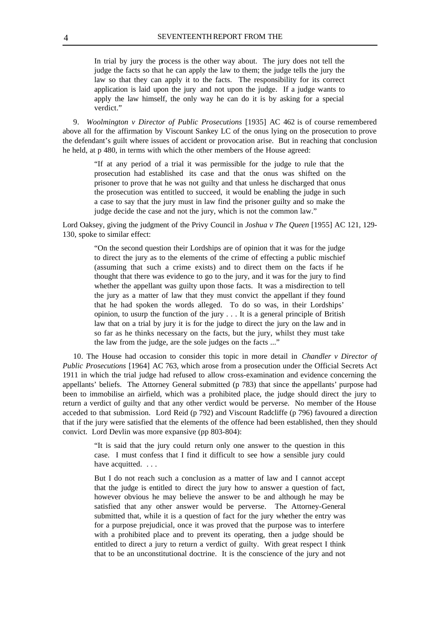In trial by jury the process is the other way about. The jury does not tell the judge the facts so that he can apply the law to them; the judge tells the jury the law so that they can apply it to the facts. The responsibility for its correct application is laid upon the jury and not upon the judge. If a judge wants to apply the law himself, the only way he can do it is by asking for a special verdict."

9. *Woolmington v Director of Public Prosecutions* [1935] AC 462 is of course remembered above all for the affirmation by Viscount Sankey LC of the onus lying on the prosecution to prove the defendant's guilt where issues of accident or provocation arise. But in reaching that conclusion he held, at p 480, in terms with which the other members of the House agreed:

"If at any period of a trial it was permissible for the judge to rule that the prosecution had established its case and that the onus was shifted on the prisoner to prove that he was not guilty and that unless he discharged that onus the prosecution was entitled to succeed, it would be enabling the judge in such a case to say that the jury must in law find the prisoner guilty and so make the judge decide the case and not the jury, which is not the common law."

Lord Oaksey, giving the judgment of the Privy Council in *Joshua v The Queen* [1955] AC 121, 129- 130, spoke to similar effect:

"On the second question their Lordships are of opinion that it was for the judge to direct the jury as to the elements of the crime of effecting a public mischief (assuming that such a crime exists) and to direct them on the facts if he thought that there was evidence to go to the jury, and it was for the jury to find whether the appellant was guilty upon those facts. It was a misdirection to tell the jury as a matter of law that they must convict the appellant if they found that he had spoken the words alleged. To do so was, in their Lordships' opinion, to usurp the function of the jury . . . It is a general principle of British law that on a trial by jury it is for the judge to direct the jury on the law and in so far as he thinks necessary on the facts, but the jury, whilst they must take the law from the judge, are the sole judges on the facts ..."

10. The House had occasion to consider this topic in more detail in *Chandler v Director of Public Prosecutions* [1964] AC 763, which arose from a prosecution under the Official Secrets Act 1911 in which the trial judge had refused to allow cross-examination and evidence concerning the appellants' beliefs. The Attorney General submitted (p 783) that since the appellants' purpose had been to immobilise an airfield, which was a prohibited place, the judge should direct the jury to return a verdict of guilty and that any other verdict would be perverse. No member of the House acceded to that submission. Lord Reid (p 792) and Viscount Radcliffe (p 796) favoured a direction that if the jury were satisfied that the elements of the offence had been established, then they should convict. Lord Devlin was more expansive (pp 803-804):

"It is said that the jury could return only one answer to the question in this case. I must confess that I find it difficult to see how a sensible jury could have acquitted. . . .

But I do not reach such a conclusion as a matter of law and I cannot accept that the judge is entitled to direct the jury how to answer a question of fact, however obvious he may believe the answer to be and although he may be satisfied that any other answer would be perverse. The Attorney-General submitted that, while it is a question of fact for the jury whether the entry was for a purpose prejudicial, once it was proved that the purpose was to interfere with a prohibited place and to prevent its operating, then a judge should be entitled to direct a jury to return a verdict of guilty. With great respect I think that to be an unconstitutional doctrine. It is the conscience of the jury and not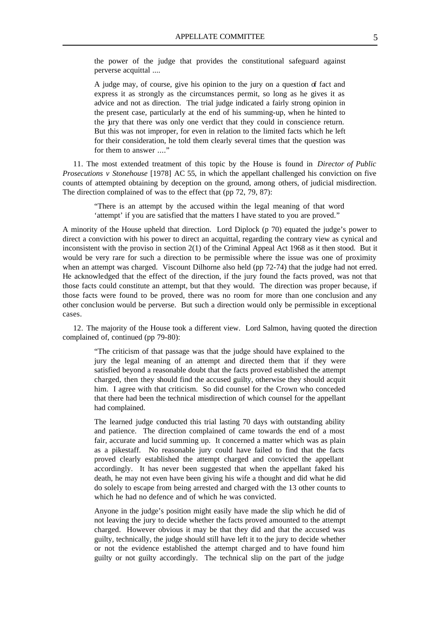the power of the judge that provides the constitutional safeguard against perverse acquittal ....

A judge may, of course, give his opinion to the jury on a question of fact and express it as strongly as the circumstances permit, so long as he gives it as advice and not as direction. The trial judge indicated a fairly strong opinion in the present case, particularly at the end of his summing-up, when he hinted to the jury that there was only one verdict that they could in conscience return. But this was not improper, for even in relation to the limited facts which he left for their consideration, he told them clearly several times that the question was for them to answer ...."

11. The most extended treatment of this topic by the House is found in *Director of Public Prosecutions v Stonehouse* [1978] AC 55, in which the appellant challenged his conviction on five counts of attempted obtaining by deception on the ground, among others, of judicial misdirection. The direction complained of was to the effect that (pp 72, 79, 87):

"There is an attempt by the accused within the legal meaning of that word 'attempt' if you are satisfied that the matters I have stated to you are proved."

A minority of the House upheld that direction. Lord Diplock (p 70) equated the judge's power to direct a conviction with his power to direct an acquittal, regarding the contrary view as cynical and inconsistent with the proviso in section 2(1) of the Criminal Appeal Act 1968 as it then stood. But it would be very rare for such a direction to be permissible where the issue was one of proximity when an attempt was charged. Viscount Dilhorne also held (pp 72-74) that the judge had not erred. He acknowledged that the effect of the direction, if the jury found the facts proved, was not that those facts could constitute an attempt, but that they would. The direction was proper because, if those facts were found to be proved, there was no room for more than one conclusion and any other conclusion would be perverse. But such a direction would only be permissible in exceptional cases.

12. The majority of the House took a different view. Lord Salmon, having quoted the direction complained of, continued (pp 79-80):

"The criticism of that passage was that the judge should have explained to the jury the legal meaning of an attempt and directed them that if they were satisfied beyond a reasonable doubt that the facts proved established the attempt charged, then they should find the accused guilty, otherwise they should acquit him. I agree with that criticism. So did counsel for the Crown who conceded that there had been the technical misdirection of which counsel for the appellant had complained.

The learned judge conducted this trial lasting 70 days with outstanding ability and patience. The direction complained of came towards the end of a most fair, accurate and lucid summing up. It concerned a matter which was as plain as a pikestaff. No reasonable jury could have failed to find that the facts proved clearly established the attempt charged and convicted the appellant accordingly. It has never been suggested that when the appellant faked his death, he may not even have been giving his wife a thought and did what he did do solely to escape from being arrested and charged with the 13 other counts to which he had no defence and of which he was convicted.

Anyone in the judge's position might easily have made the slip which he did of not leaving the jury to decide whether the facts proved amounted to the attempt charged. However obvious it may be that they did and that the accused was guilty, technically, the judge should still have left it to the jury to decide whether or not the evidence established the attempt charged and to have found him guilty or not guilty accordingly. The technical slip on the part of the judge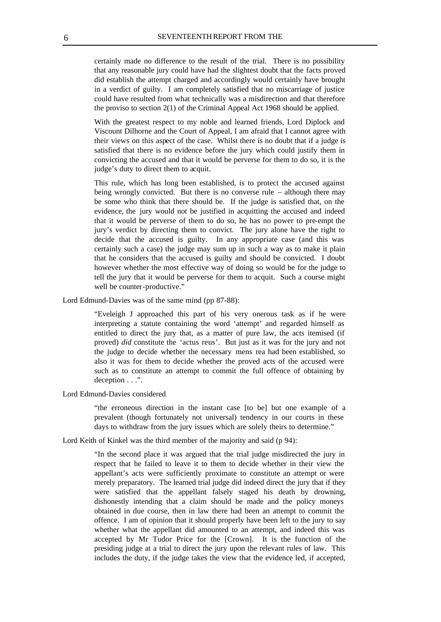certainly made no difference to the result of the trial. There is no possibility that any reasonable jury could have had the slightest doubt that the facts proved did establish the attempt charged and accordingly would certainly have brought in a verdict of guilty. I am completely satisfied that no miscarriage of justice could have resulted from what technically was a misdirection and that therefore the proviso to section 2(1) of the Criminal Appeal Act 1968 should be applied.

With the greatest respect to my noble and learned friends, Lord Diplock and Viscount Dilhorne and the Court of Appeal, I am afraid that I cannot agree with their views on this aspect of the case. Whilst there is no doubt that if a judge is satisfied that there is no evidence before the jury which could justify them in convicting the accused and that it would be perverse for them to do so, it is the judge's duty to direct them to acquit.

This rule, which has long been established, is to protect the accused against being wrongly convicted. But there is no converse rule – although there may be some who think that there should be. If the judge is satisfied that, on the evidence, the jury would not be justified in acquitting the accused and indeed that it would be perverse of them to do so, he has no power to pre-empt the jury's verdict by directing them to convict. The jury alone have the right to decide that the accused is guilty. In any appropriate case (and this was certainly such a case) the judge may sum up in such a way as to make it plain that he considers that the accused is guilty and should be convicted. I doubt however whether the most effective way of doing so would be for the judge to tell the jury that it would be perverse for them to acquit. Such a course might well be counter-productive."

Lord Edmund-Davies was of the same mind (pp 87-88):

"Eveleigh J approached this part of his very onerous task as if he were interpreting a statute containing the word 'attempt' and regarded himself as entitled to direct the jury that, as a matter of pure law, the acts itemised (if proved) *did* constitute the 'actus reus'. But just as it was for the jury and not the judge to decide whether the necessary mens rea had been established, so also it was for them to decide whether the proved acts of the accused were such as to constitute an attempt to commit the full offence of obtaining by deception . . .".

### Lord Edmund-Davies considered

"the erroneous direction in the instant case [to be] but one example of a prevalent (though fortunately not universal) tendency in our courts in these days to withdraw from the jury issues which are solely theirs to determine."

Lord Keith of Kinkel was the third member of the majority and said (p 94):

"In the second place it was argued that the trial judge misdirected the jury in respect that he failed to leave it to them to decide whether in their view the appellant's acts were sufficiently proximate to constitute an attempt or were merely preparatory. The learned trial judge did indeed direct the jury that if they were satisfied that the appellant falsely staged his death by drowning, dishonestly intending that a claim should be made and the policy moneys obtained in due course, then in law there had been an attempt to commit the offence. I am of opinion that it should properly have been left to the jury to say whether what the appellant did amounted to an attempt, and indeed this was accepted by Mr Tudor Price for the [Crown]. It is the function of the presiding judge at a trial to direct the jury upon the relevant rules of law. This includes the duty, if the judge takes the view that the evidence led, if accepted,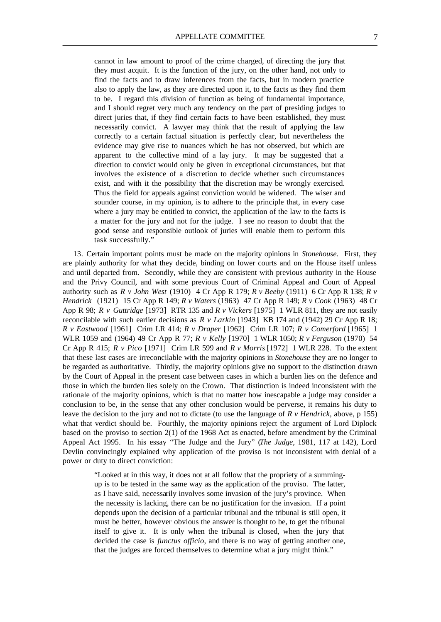cannot in law amount to proof of the crime charged, of directing the jury that they must acquit. It is the function of the jury, on the other hand, not only to find the facts and to draw inferences from the facts, but in modern practice also to apply the law, as they are directed upon it, to the facts as they find them to be. I regard this division of function as being of fundamental importance, and I should regret very much any tendency on the part of presiding judges to direct juries that, if they find certain facts to have been established, they must necessarily convict. A lawyer may think that the result of applying the law correctly to a certain factual situation is perfectly clear, but nevertheless the evidence may give rise to nuances which he has not observed, but which are apparent to the collective mind of a lay jury. It may be suggested that a direction to convict would only be given in exceptional circumstances, but that involves the existence of a discretion to decide whether such circumstances exist, and with it the possibility that the discretion may be wrongly exercised. Thus the field for appeals against conviction would be widened. The wiser and sounder course, in my opinion, is to adhere to the principle that, in every case where a jury may be entitled to convict, the application of the law to the facts is a matter for the jury and not for the judge. I see no reason to doubt that the good sense and responsible outlook of juries will enable them to perform this task successfully."

13. Certain important points must be made on the majority opinions in *Stonehouse.* First, they are plainly authority for what they decide, binding on lower courts and on the House itself unless and until departed from. Secondly, while they are consistent with previous authority in the House and the Privy Council, and with some previous Court of Criminal Appeal and Court of Appeal authority such as *R v John West* (1910) 4 Cr App R 179; *R v Beeby* (1911) 6 Cr App R 138; *R v Hendrick* (1921) 15 Cr App R 149; *R v Waters* (1963) 47 Cr App R 149; *R v Cook* (1963) 48 Cr App R 98; *R v Guttridge* [1973] RTR 135 and *R v Vickers* [1975] 1 WLR 811, they are not easily reconcilable with such earlier decisions as *R v Larkin* [1943] KB 174 and (1942) 29 Cr App R 18; *R v Eastwood* [1961] Crim LR 414; *R v Draper* [1962] Crim LR 107; *R v Comerford* [1965] 1 WLR 1059 and (1964) 49 Cr App R 77; *R v Kelly* [1970] 1 WLR 1050; *R v Ferguson* (1970) 54 Cr App R 415; *R v Pico* [1971] Crim LR 599 and *R v Morris* [1972] 1 WLR 228. To the extent that these last cases are irreconcilable with the majority opinions in *Stonehouse* they are no longer to be regarded as authoritative. Thirdly, the majority opinions give no support to the distinction drawn by the Court of Appeal in the present case between cases in which a burden lies on the defence and those in which the burden lies solely on the Crown. That distinction is indeed inconsistent with the rationale of the majority opinions, which is that no matter how inescapable a judge may consider a conclusion to be, in the sense that any other conclusion would be perverse, it remains his duty to leave the decision to the jury and not to dictate (to use the language of *R v Hendrick,* above, p 155) what that verdict should be. Fourthly, the majority opinions reject the argument of Lord Diplock based on the proviso to section 2(1) of the 1968 Act as enacted, before amendment by the Criminal Appeal Act 1995. In his essay "The Judge and the Jury" (*The Judge*, 1981, 117 at 142), Lord Devlin convincingly explained why application of the proviso is not inconsistent with denial of a power or duty to direct conviction:

"Looked at in this way, it does not at all follow that the propriety of a summingup is to be tested in the same way as the application of the proviso. The latter, as I have said, necessarily involves some invasion of the jury's province. When the necessity is lacking, there can be no justification for the invasion. If a point depends upon the decision of a particular tribunal and the tribunal is still open, it must be better, however obvious the answer is thought to be, to get the tribunal itself to give it. It is only when the tribunal is closed, when the jury that decided the case is *functus officio*, and there is no way of getting another one, that the judges are forced themselves to determine what a jury might think."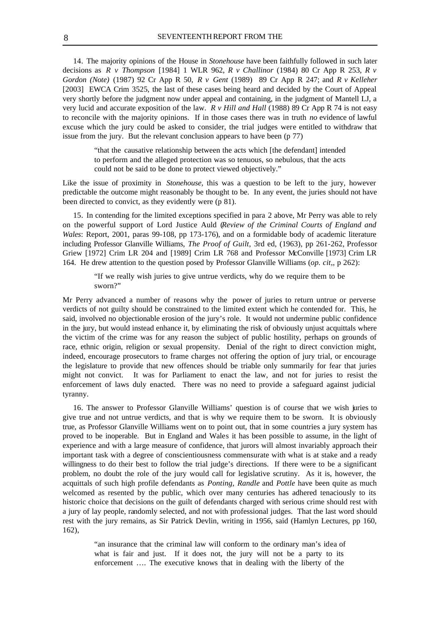14. The majority opinions of the House in *Stonehouse* have been faithfully followed in such later decisions as *R v Thompson* [1984] 1 WLR 962, *R v Challinor* (1984) 80 Cr App R 253, *R v Gordon (Note)* (1987) 92 Cr App R 50, *R v Gent* (1989) 89 Cr App R 247; and *R v Kelleher* [2003] EWCA Crim 3525, the last of these cases being heard and decided by the Court of Appeal very shortly before the judgment now under appeal and containing, in the judgment of Mantell LJ, a very lucid and accurate exposition of the law. *R v Hill and Hall* (1988) 89 Cr App R 74 is not easy to reconcile with the majority opinions. If in those cases there was in truth *no* evidence of lawful excuse which the jury could be asked to consider, the trial judges were entitled to withdraw that issue from the jury. But the relevant conclusion appears to have been (p 77)

"that the causative relationship between the acts which [the defendant] intended to perform and the alleged protection was so tenuous, so nebulous, that the acts could not be said to be done to protect viewed objectively."

Like the issue of proximity in *Stonehouse*, this was a question to be left to the jury, however predictable the outcome might reasonably be thought to be. In any event, the juries should not have been directed to convict, as they evidently were (p 81).

15. In contending for the limited exceptions specified in para 2 above, Mr Perry was able to rely on the powerful support of Lord Justice Auld (*Review of the Criminal Courts of England and Wales*: Report, 2001, paras 99-108, pp 173-176), and on a formidable body of academic literature including Professor Glanville Williams, *The Proof of Guilt*, 3rd ed, (1963), pp 261-262, Professor Griew [1972] Crim LR 204 and [1989] Crim LR 768 and Professor McConville [1973] Crim LR 164. He drew attention to the question posed by Professor Glanville Williams (*op. cit,*, p 262):

"If we really wish juries to give untrue verdicts, why do we require them to be sworn?"

Mr Perry advanced a number of reasons why the power of juries to return untrue or perverse verdicts of not guilty should be constrained to the limited extent which he contended for. This, he said, involved no objectionable erosion of the jury's role. It would not undermine public confidence in the jury, but would instead enhance it, by eliminating the risk of obviously unjust acquittals where the victim of the crime was for any reason the subject of public hostility, perhaps on grounds of race, ethnic origin, religion or sexual propensity. Denial of the right to direct conviction might, indeed, encourage prosecutors to frame charges not offering the option of jury trial, or encourage the legislature to provide that new offences should be triable only summarily for fear that juries might not convict. It was for Parliament to enact the law, and not for juries to resist the enforcement of laws duly enacted. There was no need to provide a safeguard against judicial tyranny.

16. The answer to Professor Glanville Williams' question is of course that we wish juries to give true and not untrue verdicts, and that is why we require them to be sworn. It is obviously true, as Professor Glanville Williams went on to point out, that in some countries a jury system has proved to be inoperable. But in England and Wales it has been possible to assume, in the light of experience and with a large measure of confidence, that jurors will almost invariably approach their important task with a degree of conscientiousness commensurate with what is at stake and a ready willingness to do their best to follow the trial judge's directions. If there were to be a significant problem, no doubt the role of the jury would call for legislative scrutiny. As it is, however, the acquittals of such high profile defendants as *Ponting*, *Randle* and *Pottle* have been quite as much welcomed as resented by the public, which over many centuries has adhered tenaciously to its historic choice that decisions on the guilt of defendants charged with serious crime should rest with a jury of lay people, randomly selected, and not with professional judges. That the last word should rest with the jury remains, as Sir Patrick Devlin, writing in 1956, said (Hamlyn Lectures, pp 160, 162),

"an insurance that the criminal law will conform to the ordinary man's idea of what is fair and just. If it does not, the jury will not be a party to its enforcement …. The executive knows that in dealing with the liberty of the